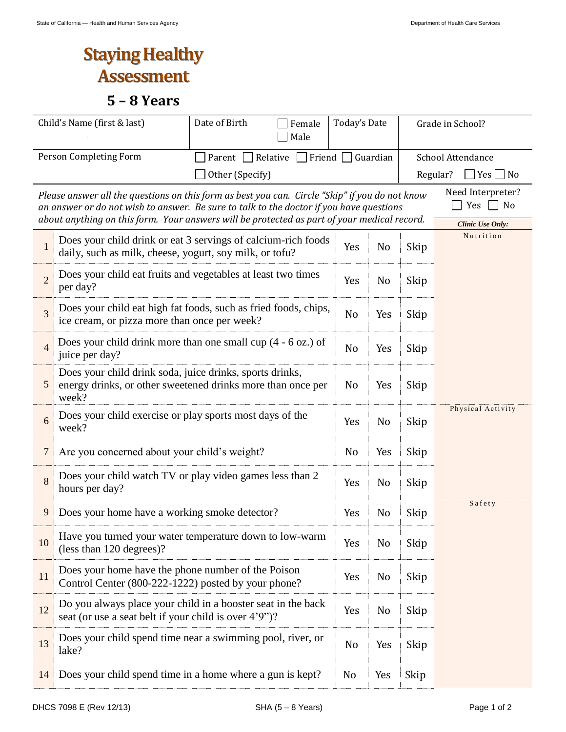## **Staying Healthy Assessment**

## **5 – 8 Years**

| Child's Name (first & last) |                                                                                                                                                                                                                                                                                          | Date of Birth<br>Female<br>Male |                | Today's Date   |                               | Grade in School?                     |                                  |  |
|-----------------------------|------------------------------------------------------------------------------------------------------------------------------------------------------------------------------------------------------------------------------------------------------------------------------------------|---------------------------------|----------------|----------------|-------------------------------|--------------------------------------|----------------------------------|--|
| Person Completing Form      |                                                                                                                                                                                                                                                                                          | Parent Relative                 |                |                | $\Box$ Friend $\Box$ Guardian |                                      | School Attendance                |  |
| Other (Specify)             |                                                                                                                                                                                                                                                                                          |                                 |                |                |                               |                                      | Regular?<br>$\Box$ Yes $\Box$ No |  |
|                             | Please answer all the questions on this form as best you can. Circle "Skip" if you do not know<br>an answer or do not wish to answer. Be sure to talk to the doctor if you have questions<br>about anything on this form. Your answers will be protected as part of your medical record. | Need Interpreter?<br>No<br>Yes  |                |                |                               |                                      |                                  |  |
| 1                           | Does your child drink or eat 3 servings of calcium-rich foods<br>daily, such as milk, cheese, yogurt, soy milk, or tofu?                                                                                                                                                                 |                                 | Yes            | N <sub>o</sub> | Skip                          | <b>Clinic Use Only:</b><br>Nutrition |                                  |  |
| $\overline{2}$              | Does your child eat fruits and vegetables at least two times<br>per day?                                                                                                                                                                                                                 |                                 | Yes            | N <sub>o</sub> | Skip                          |                                      |                                  |  |
| 3                           | Does your child eat high fat foods, such as fried foods, chips,<br>ice cream, or pizza more than once per week?                                                                                                                                                                          |                                 | No             | Yes            | Skip                          |                                      |                                  |  |
| $\overline{4}$              | Does your child drink more than one small cup $(4 - 6)$ oz.) of<br>juice per day?                                                                                                                                                                                                        |                                 | No             | Yes            | Skip                          |                                      |                                  |  |
| 5                           | Does your child drink soda, juice drinks, sports drinks,<br>energy drinks, or other sweetened drinks more than once per<br>week?                                                                                                                                                         |                                 | No             | Yes            | Skip                          |                                      |                                  |  |
| 6                           | Does your child exercise or play sports most days of the<br>week?                                                                                                                                                                                                                        |                                 | Yes            | N <sub>o</sub> | Skip                          | Physical Activity                    |                                  |  |
| $\overline{7}$              | Are you concerned about your child's weight?                                                                                                                                                                                                                                             |                                 | No             | Yes            | Skip                          |                                      |                                  |  |
| 8                           | Does your child watch TV or play video games less than 2<br>hours per day?                                                                                                                                                                                                               |                                 | Yes            | N <sub>0</sub> | Skip                          |                                      |                                  |  |
| 9                           | Does your home have a working smoke detector?                                                                                                                                                                                                                                            | Yes                             | N <sub>o</sub> | Skip           | Safety                        |                                      |                                  |  |
| 10                          | Have you turned your water temperature down to low-warm<br>(less than 120 degrees)?                                                                                                                                                                                                      | Yes                             | No             | Skip           |                               |                                      |                                  |  |
| 11                          | Does your home have the phone number of the Poison<br>Control Center (800-222-1222) posted by your phone?                                                                                                                                                                                |                                 | Yes            | No             | Skip                          |                                      |                                  |  |
| 12                          | Do you always place your child in a booster seat in the back<br>seat (or use a seat belt if your child is over 4'9")?                                                                                                                                                                    |                                 | Yes            | No             | Skip                          |                                      |                                  |  |
| 13                          | Does your child spend time near a swimming pool, river, or<br>lake?                                                                                                                                                                                                                      |                                 | No             | Yes            | Skip                          |                                      |                                  |  |
| 14                          | Does your child spend time in a home where a gun is kept?                                                                                                                                                                                                                                |                                 | No             | Yes            | Skip                          |                                      |                                  |  |